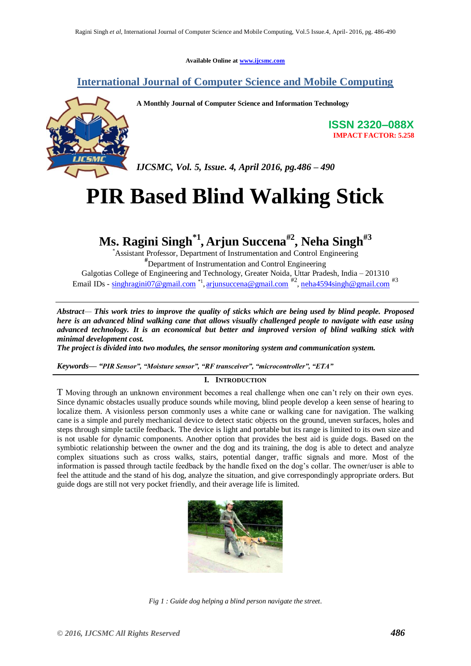**Available Online at www.ijcsmc.com**

# **International Journal of Computer Science and Mobile Computing**



**A Monthly Journal of Computer Science and Information Technology**

**ISSN 2320–088X IMPACT FACTOR: 5.258**

*IJCSMC, Vol. 5, Issue. 4, April 2016, pg.486 – 490*

# **PIR Based Blind Walking Stick**

**Ms. Ragini Singh\*1 , Arjun Succena#2, Neha Singh#3**

\*Assistant Professor, Department of Instrumentation and Control Engineering

**#** Department of Instrumentation and Control Engineering Galgotias College of Engineering and Technology, Greater Noida, Uttar Pradesh, India – 201310

Email IDs - singhragini07@gmail.com \*1, arjunsuccena@gmail.com  $\stackrel{\#2}{\sim}$ , neha4594singh@gmail.com  $\stackrel{\#3}{\sim}$ 

*Abstract— This work tries to improve the quality of sticks which are being used by blind people. Proposed here is an advanced blind walking cane that allows visually challenged people to navigate with ease using advanced technology. It is an economical but better and improved version of blind walking stick with minimal development cost.*

*The project is divided into two modules, the sensor monitoring system and communication system.*

*Keywords—* "PIR Sensor", "Moisture sensor", "RF transceiver", "microcontroller", "ETA"

# **I. INTRODUCTION**

T Moving through an unknown environment becomes a real challenge when one can"t rely on their own eyes. Since dynamic obstacles usually produce sounds while moving, blind people develop a keen sense of hearing to localize them. A visionless person commonly uses a white cane or walking cane for navigation. The walking cane is a simple and purely mechanical device to detect static objects on the ground, uneven surfaces, holes and steps through simple tactile feedback. The device is light and portable but its range is limited to its own size and is not usable for dynamic components. Another option that provides the best aid is guide dogs. Based on the symbiotic relationship between the owner and the dog and its training, the dog is able to detect and analyze complex situations such as cross walks, stairs, potential danger, traffic signals and more. Most of the information is passed through tactile feedback by the handle fixed on the dog"s collar. The owner/user is able to feel the attitude and the stand of his dog, analyze the situation, and give correspondingly appropriate orders. But guide dogs are still not very pocket friendly, and their average life is limited.



*Fig 1 : Guide dog helping a blind person navigate the street.*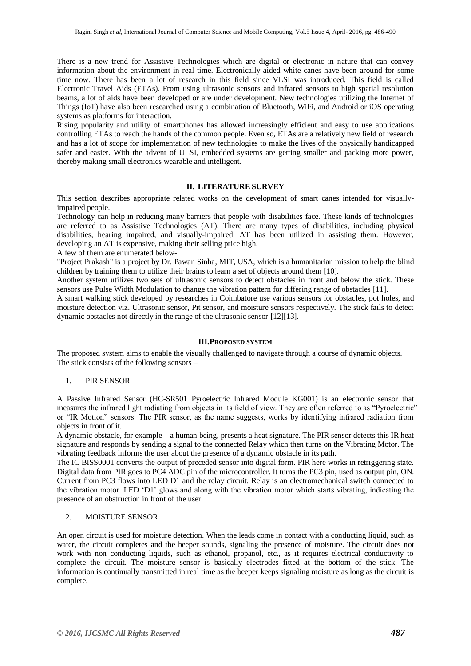There is a new trend for Assistive Technologies which are digital or electronic in nature that can convey information about the environment in real time. Electronically aided white canes have been around for some time now. There has been a lot of research in this field since VLSI was introduced. This field is called Electronic Travel Aids (ETAs). From using ultrasonic sensors and infrared sensors to high spatial resolution beams, a lot of aids have been developed or are under development. New technologies utilizing the Internet of Things (IoT) have also been researched using a combination of Bluetooth, WiFi, and Android or iOS operating systems as platforms for interaction.

Rising popularity and utility of smartphones has allowed increasingly efficient and easy to use applications controlling ETAs to reach the hands of the common people. Even so, ETAs are a relatively new field of research and has a lot of scope for implementation of new technologies to make the lives of the physically handicapped safer and easier. With the advent of ULSI, embedded systems are getting smaller and packing more power, thereby making small electronics wearable and intelligent.

# **II. LITERATURE SURVEY**

This section describes appropriate related works on the development of smart canes intended for visuallyimpaired people.

Technology can help in reducing many barriers that people with disabilities face. These kinds of technologies are referred to as Assistive Technologies (AT). There are many types of disabilities, including physical disabilities, hearing impaired, and visually-impaired. AT has been utilized in assisting them. However, developing an AT is expensive, making their selling price high.

A few of them are enumerated below-

"Project Prakash" is a project by Dr. Pawan Sinha, MIT, USA, which is a humanitarian mission to help the blind children by training them to utilize their brains to learn a set of objects around them [10].

Another system utilizes two sets of ultrasonic sensors to detect obstacles in front and below the stick. These sensors use Pulse Width Modulation to change the vibration pattern for differing range of obstacles [11].

A smart walking stick developed by researches in Coimbatore use various sensors for obstacles, pot holes, and moisture detection viz. Ultrasonic sensor, Pit sensor, and moisture sensors respectively. The stick fails to detect dynamic obstacles not directly in the range of the ultrasonic sensor [12][13].

## **III.PROPOSED SYSTEM**

The proposed system aims to enable the visually challenged to navigate through a course of dynamic objects. The stick consists of the following sensors –

### 1. PIR SENSOR

A Passive Infrared Sensor (HC-SR501 Pyroelectric Infrared Module KG001) is an electronic sensor that measures the infrared light radiating from objects in its field of view. They are often referred to as "Pyroelectric" or "IR Motion" sensors. The PIR sensor, as the name suggests, works by identifying infrared radiation from objects in front of it.

A dynamic obstacle, for example – a human being, presents a heat signature. The PIR sensor detects this IR heat signature and responds by sending a signal to the connected Relay which then turns on the Vibrating Motor. The vibrating feedback informs the user about the presence of a dynamic obstacle in its path.

The IC BISS0001 converts the output of preceded sensor into digital form. PIR here works in retriggering state. Digital data from PIR goes to PC4 ADC pin of the microcontroller. It turns the PC3 pin, used as output pin, ON. Current from PC3 flows into LED D1 and the relay circuit. Relay is an electromechanical switch connected to the vibration motor. LED "D1" glows and along with the vibration motor which starts vibrating, indicating the presence of an obstruction in front of the user.

#### 2. MOISTURE SENSOR

An open circuit is used for moisture detection. When the leads come in contact with a conducting liquid, such as water, the circuit completes and the beeper sounds, signaling the presence of moisture. The circuit does not work with non conducting liquids, such as ethanol, propanol, etc., as it requires electrical conductivity to complete the circuit. The moisture sensor is basically electrodes fitted at the bottom of the stick. The information is continually transmitted in real time as the beeper keeps signaling moisture as long as the circuit is complete.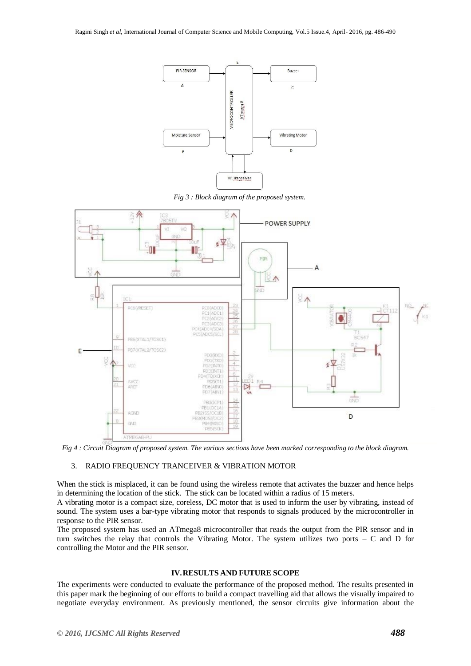

*Fig 3 : Block diagram of the proposed system.*



*Fig 4 : Circuit Diagram of proposed system. The various sections have been marked corresponding to the block diagram.*

#### 3. RADIO FREQUENCY TRANCEIVER & VIBRATION MOTOR

When the stick is misplaced, it can be found using the wireless remote that activates the buzzer and hence helps in determining the location of the stick. The stick can be located within a radius of 15 meters.

A vibrating motor is a compact size, coreless, DC motor that is used to inform the user by vibrating, instead of sound. The system uses a bar-type vibrating motor that responds to signals produced by the microcontroller in response to the PIR sensor.

The proposed system has used an ATmega8 microcontroller that reads the output from the PIR sensor and in turn switches the relay that controls the Vibrating Motor. The system utilizes two ports – C and D for controlling the Motor and the PIR sensor.

#### **IV.RESULTS AND FUTURE SCOPE**

The experiments were conducted to evaluate the performance of the proposed method. The results presented in this paper mark the beginning of our efforts to build a compact travelling aid that allows the visually impaired to negotiate everyday environment. As previously mentioned, the sensor circuits give information about the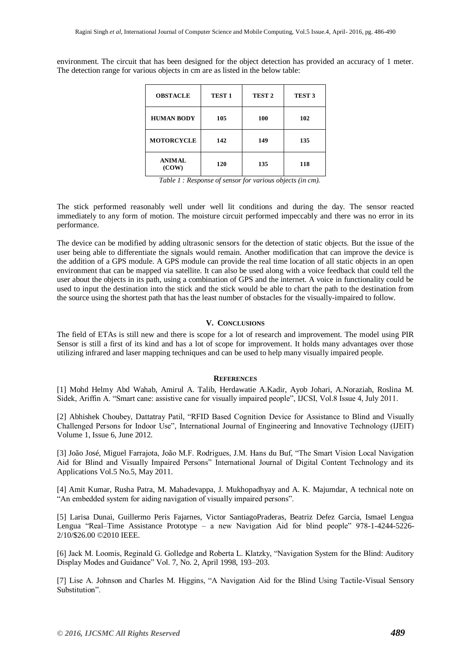environment. The circuit that has been designed for the object detection has provided an accuracy of 1 meter. The detection range for various objects in cm are as listed in the below table:

| <b>OBSTACLE</b>        | <b>TEST 1</b> | TEST <sub>2</sub> | <b>TEST 3</b> |
|------------------------|---------------|-------------------|---------------|
| <b>HUMAN BODY</b>      | 105           | 100               | 102           |
| <b>MOTORCYCLE</b>      | 142           | 149               | 135           |
| <b>ANIMAL</b><br>(COW) | 120           | 135               | 118           |

*Table 1 : Response of sensor for various objects (in cm).*

The stick performed reasonably well under well lit conditions and during the day. The sensor reacted immediately to any form of motion. The moisture circuit performed impeccably and there was no error in its performance.

The device can be modified by adding ultrasonic sensors for the detection of static objects. But the issue of the user being able to differentiate the signals would remain. Another modification that can improve the device is the addition of a GPS module. A GPS module can provide the real time location of all static objects in an open environment that can be mapped via satellite. It can also be used along with a voice feedback that could tell the user about the objects in its path, using a combination of GPS and the internet. A voice in functionality could be used to input the destination into the stick and the stick would be able to chart the path to the destination from the source using the shortest path that has the least number of obstacles for the visually-impaired to follow.

### **V. CONCLUSIONS**

The field of ETAs is still new and there is scope for a lot of research and improvement. The model using PIR Sensor is still a first of its kind and has a lot of scope for improvement. It holds many advantages over those utilizing infrared and laser mapping techniques and can be used to help many visually impaired people.

#### **REFERENCES**

[1] Mohd Helmy Abd Wahab, Amirul A. Talib, Herdawatie A.Kadir, Ayob Johari, A.Noraziah, Roslina M. Sidek, Ariffin A. "Smart cane: assistive cane for visually impaired people", IJCSI, Vol.8 Issue 4, July 2011.

[2] Abhishek Choubey, Dattatray Patil, "RFID Based Cognition Device for Assistance to Blind and Visually Challenged Persons for Indoor Use", International Journal of Engineering and Innovative Technology (IJEIT) Volume 1, Issue 6, June 2012.

[3] João José, Miguel Farrajota, João M.F. Rodrigues, J.M. Hans du Buf, "The Smart Vision Local Navigation Aid for Blind and Visually Impaired Persons" International Journal of Digital Content Technology and its Applications Vol.5 No.5, May 2011.

[4] Amit Kumar, Rusha Patra, M. Mahadevappa, J. Mukhopadhyay and A. K. Majumdar, A technical note on "An embedded system for aiding navigation of visually impaired persons".

[5] Larisa Dunai, Guillermo Peris Fajarnes, Victor SantiagoPraderas, Beatriz Defez Garcia, Ismael Lengua Lengua "Real–Time Assistance Prototype – a new Navigation Aid for blind people" 978-1-4244-5226- 2/10/\$26.00 ©2010 IEEE.

[6] Jack M. Loomis, Reginald G. Golledge and Roberta L. Klatzky, "Navigation System for the Blind: Auditory Display Modes and Guidance" Vol. 7, No. 2, April 1998, 193–203.

[7] Lise A. Johnson and Charles M. Higgins, "A Navigation Aid for the Blind Using Tactile-Visual Sensory Substitution".